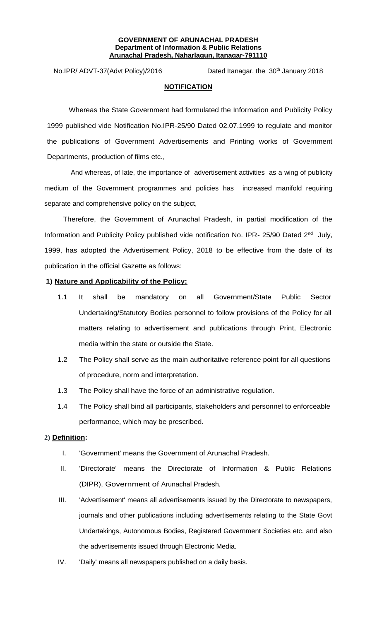#### **GOVERNMENT OF ARUNACHAL PRADESH Department of Information & Public Relations Arunachal Pradesh, Naharlagun, Itanagar-791110**

No.IPR/ ADVT-37(Advt Policy)/2016 Dated Itanagar, the 30<sup>th</sup> January 2018

## **NOTIFICATION**

Whereas the State Government had formulated the Information and Publicity Policy 1999 published vide Notification No.IPR-25/90 Dated 02.07.1999 to regulate and monitor the publications of Government Advertisements and Printing works of Government Departments, production of films etc.,

And whereas, of late, the importance of advertisement activities as a wing of publicity medium of the Government programmes and policies has increased manifold requiring separate and comprehensive policy on the subject,

Therefore, the Government of Arunachal Pradesh, in partial modification of the Information and Publicity Policy published vide notification No. IPR- 25/90 Dated 2<sup>nd</sup> July, 1999, has adopted the Advertisement Policy, 2018 to be effective from the date of its publication in the official Gazette as follows:

# **1) Nature and Applicability of the Policy:**

- 1.1 It shall be mandatory on all Government/State Public Sector Undertaking/Statutory Bodies personnel to follow provisions of the Policy for all matters relating to advertisement and publications through Print, Electronic media within the state or outside the State.
- 1.2 The Policy shall serve as the main authoritative reference point for all questions of procedure, norm and interpretation.
- 1.3 The Policy shall have the force of an administrative regulation.
- 1.4 The Policy shall bind all participants, stakeholders and personnel to enforceable performance, which may be prescribed.

# **2) Definition:**

- I. 'Government' means the Government of Arunachal Pradesh.
- II. 'Directorate' means the Directorate of Information & Public Relations (DIPR), Government of Arunachal Pradesh.
- III. 'Advertisement' means all advertisements issued by the Directorate to newspapers, journals and other publications including advertisements relating to the State Govt Undertakings, Autonomous Bodies, Registered Government Societies etc. and also the advertisements issued through Electronic Media.
- IV. 'Daily' means all newspapers published on a daily basis.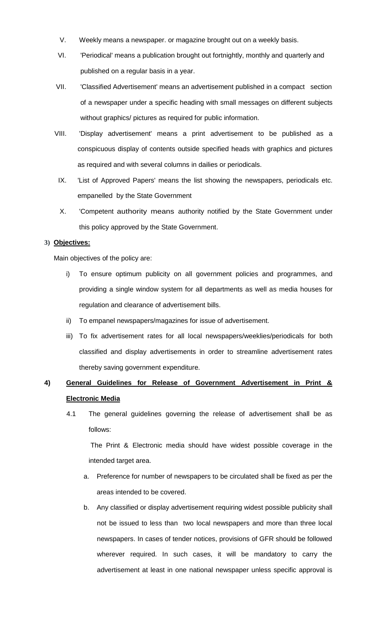- V. Weekly means a newspaper. or magazine brought out on a weekly basis.
- VI. 'Periodical' means a publication brought out fortnightly, monthly and quarterly and published on a regular basis in a year.
- VII. 'Classified Advertisement' means an advertisement published in a compact section of a newspaper under a specific heading with small messages on different subjects without graphics/ pictures as required for public information.
- VIII. 'Display advertisement' means a print advertisement to be published as a conspicuous display of contents outside specified heads with graphics and pictures as required and with several columns in dailies or periodicals.
- IX. 'List of Approved Papers' means the list showing the newspapers, periodicals etc. empanelled by the State Government
- X. 'Competent authority means authority notified by the State Government under this policy approved by the State Government.

## **3) Objectives:**

Main objectives of the policy are:

- i) To ensure optimum publicity on all government policies and programmes, and providing a single window system for all departments as well as media houses for regulation and clearance of advertisement bills.
- ii) To empanel newspapers/magazines for issue of advertisement.
- iii) To fix advertisement rates for all local newspapers/weeklies/periodicals for both classified and display advertisements in order to streamline advertisement rates thereby saving government expenditure.

# **4) General Guidelines for Release of Government Advertisement in Print & Electronic Media**

4.1 The general guidelines governing the release of advertisement shall be as follows:

The Print & Electronic media should have widest possible coverage in the intended target area.

- a. Preference for number of newspapers to be circulated shall be fixed as per the areas intended to be covered.
- b. Any classified or display advertisement requiring widest possible publicity shall not be issued to less than two local newspapers and more than three local newspapers. In cases of tender notices, provisions of GFR should be followed wherever required. In such cases, it will be mandatory to carry the advertisement at least in one national newspaper unless specific approval is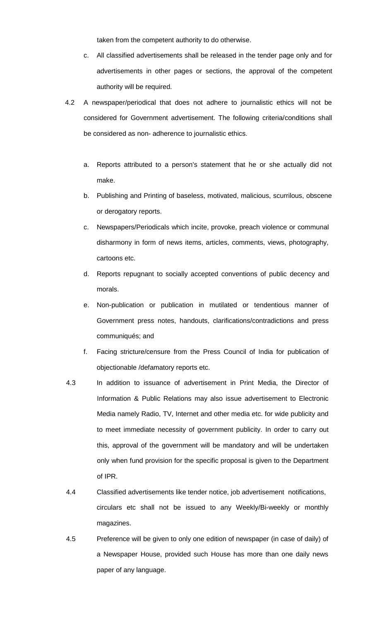taken from the competent authority to do otherwise.

- c. All classified advertisements shall be released in the tender page only and for advertisements in other pages or sections, the approval of the competent authority will be required.
- 4.2 A newspaper/periodical that does not adhere to journalistic ethics will not be considered for Government advertisement. The following criteria/conditions shall be considered as non- adherence to journalistic ethics.
	- a. Reports attributed to a person's statement that he or she actually did not make.
	- b. Publishing and Printing of baseless, motivated, malicious, scurrilous, obscene or derogatory reports.
	- c. Newspapers/Periodicals which incite, provoke, preach violence or communal disharmony in form of news items, articles, comments, views, photography, cartoons etc.
	- d. Reports repugnant to socially accepted conventions of public decency and morals.
	- e. Non-publication or publication in mutilated or tendentious manner of Government press notes, handouts, clarifications/contradictions and press communiqués; and
	- f. Facing stricture/censure from the Press Council of India for publication of objectionable /defamatory reports etc.
- 4.3 In addition to issuance of advertisement in Print Media, the Director of Information & Public Relations may also issue advertisement to Electronic Media namely Radio, TV, Internet and other media etc. for wide publicity and to meet immediate necessity of government publicity. In order to carry out this, approval of the government will be mandatory and will be undertaken only when fund provision for the specific proposal is given to the Department of IPR.
- 4.4 Classified advertisements like tender notice, job advertisement notifications, circulars etc shall not be issued to any Weekly/Bi-weekly or monthly magazines.
- 4.5 Preference will be given to only one edition of newspaper (in case of daily) of a Newspaper House, provided such House has more than one daily news paper of any language.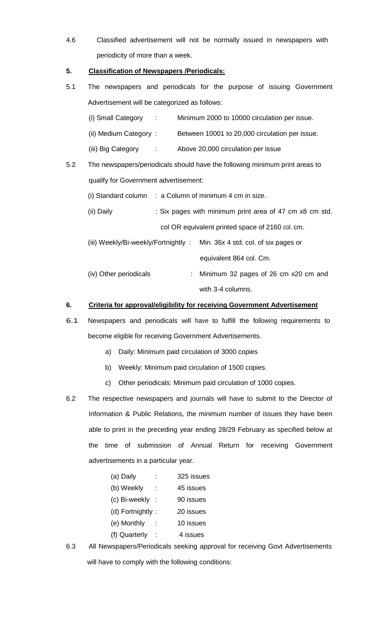4.6 Classified advertisement will not be normally issued in newspapers with periodicity of more than a week.

# **5. Classification of Newspapers /Periodicals:**

- 5.1 The newspapers and periodicals for the purpose of issuing Government Advertisement will be categorized as follows:
	- (i) Small Category : Minimum 2000 to 10000 circulation per issue.
	- (ii) Medium Category : Between 10001 to 20,000 circulation per issue.
	- (iii) Big Category : Above 20,000 circulation per issue
- 5.2 The newspapers/periodicals should have the following minimum print areas to qualify for Government advertisement:
	- (i) Standard column  $\therefore$  a Column of minimum 4 cm in size.
	- (ii) Daily : Six pages with minimum print area of 47 cm x8 cm std. col OR equivalent printed space of 2160 col. cm.
	- (iii) Weekly/Bi-weekly/Fortnightly : Min. 36x 4 std. col. of six pages or equivalent 864 col. Cm.
	- (iv) Other periodicals : Minimum 32 pages of 26 cm x20 cm and with 3-4 columns.

# **6. Criteria for approval/eligibility for receiving Government Advertisement**

- 6.1 Newspapers and periodicals will have to fulfill the following requirements to become eligible for receiving Government Advertisements.
	- a) Daily: Minimum paid circulation of 3000 copies
	- b) Weekly: Minimum paid circulation of 1500 copies.
	- c) Other periodicals: Minimum paid circulation of 1000 copies.
- 6.2 The respective newspapers and journals will have to submit to the Director of Information & Public Relations, the minimum number of issues they have been able to print in the preceding year ending 28/29 February as specified below at the time of submission of Annual Return for receiving Government advertisements in a particular year.
	- (a) Daily : 325 issues (b) Weekly : 45 issues (c) Bi-weekly : 90 issues (d) Fortnightly : 20 issues (e) Monthly : 10 issues (f) Quarterly : 4 issues
- 6.3 All Newspapers/Periodicals seeking approval for receiving Govt Advertisements will have to comply with the following conditions: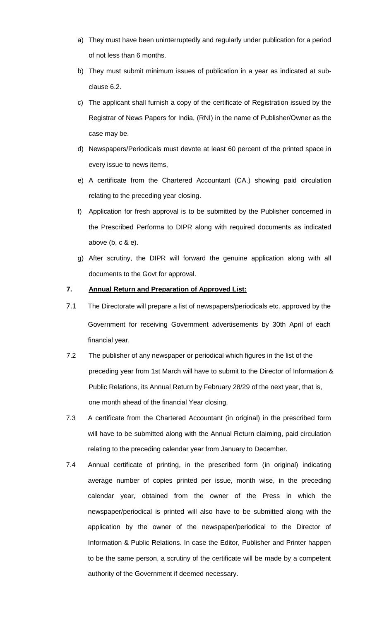- a) They must have been uninterruptedly and regularly under publication for a period of not less than 6 months.
- b) They must submit minimum issues of publication in a year as indicated at subclause 6.2.
- c) The applicant shall furnish a copy of the certificate of Registration issued by the Registrar of News Papers for India, (RNI) in the name of Publisher/Owner as the case may be.
- d) Newspapers/Periodicals must devote at least 60 percent of the printed space in every issue to news items,
- e) A certificate from the Chartered Accountant (CA.) showing paid circulation relating to the preceding year closing.
- f) Application for fresh approval is to be submitted by the Publisher concerned in the Prescribed Performa to DIPR along with required documents as indicated above (b, c & e).
- g) After scrutiny, the DIPR will forward the genuine application along with all documents to the Govt for approval.

# **7. Annual Return and Preparation of Approved List:**

- 7.1 The Directorate will prepare a list of newspapers/periodicals etc. approved by the Government for receiving Government advertisements by 30th April of each financial year.
- 7.2 The publisher of any newspaper or periodical which figures in the list of the preceding year from 1st March will have to submit to the Director of Information & Public Relations, its Annual Return by February 28/29 of the next year, that is, one month ahead of the financial Year closing.
- 7.3 A certificate from the Chartered Accountant (in original) in the prescribed form will have to be submitted along with the Annual Return claiming, paid circulation relating to the preceding calendar year from January to December.
- 7.4 Annual certificate of printing, in the prescribed form (in original) indicating average number of copies printed per issue, month wise, in the preceding calendar year, obtained from the owner of the Press in which the newspaper/periodical is printed will also have to be submitted along with the application by the owner of the newspaper/periodical to the Director of Information & Public Relations. In case the Editor, Publisher and Printer happen to be the same person, a scrutiny of the certificate will be made by a competent authority of the Government if deemed necessary.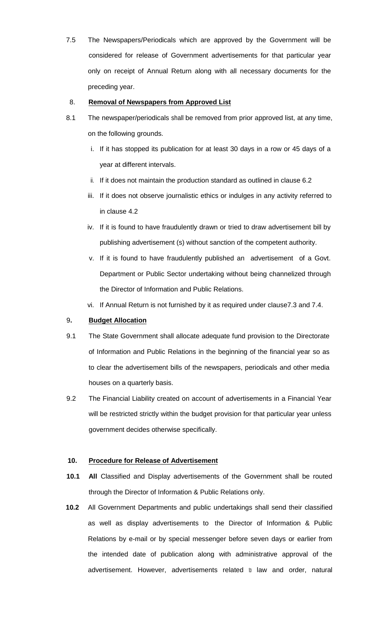7.5 The Newspapers/Periodicals which are approved by the Government will be considered for release of Government advertisements for that particular year only on receipt of Annual Return along with all necessary documents for the preceding year.

## 8. **Removal of Newspapers from Approved List**

- 8.1 The newspaper/periodicals shall be removed from prior approved list, at any time, on the following grounds.
	- i. If it has stopped its publication for at least 30 days in a row or 45 days of a year at different intervals.
	- ii. If it does not maintain the production standard as outlined in clause 6.2
	- iii. If it does not observe journalistic ethics or indulges in any activity referred to in clause 4.2
	- iv. If it is found to have fraudulently drawn or tried to draw advertisement bill by publishing advertisement (s) without sanction of the competent authority.
	- v. If it is found to have fraudulently published an advertisement of a Govt. Department or Public Sector undertaking without being channelized through the Director of Information and Public Relations.
	- vi. If Annual Return is not furnished by it as required under clause7.3 and 7.4.

## 9**. Budget Allocation**

- 9.1 The State Government shall allocate adequate fund provision to the Directorate of Information and Public Relations in the beginning of the financial year so as to clear the advertisement bills of the newspapers, periodicals and other media houses on a quarterly basis.
- 9.2 The Financial Liability created on account of advertisements in a Financial Year will be restricted strictly within the budget provision for that particular year unless government decides otherwise specifically.

## **10. Procedure for Release of Advertisement**

- **10.1 All** Classified and Display advertisements of the Government shall be routed through the Director of Information & Public Relations only.
- **10.2** All Government Departments and public undertakings shall send their classified as well as display advertisements to the Director of Information & Public Relations by e-mail or by special messenger before seven days or earlier from the intended date of publication along with administrative approval of the advertisement. However, advertisements related to law and order, natural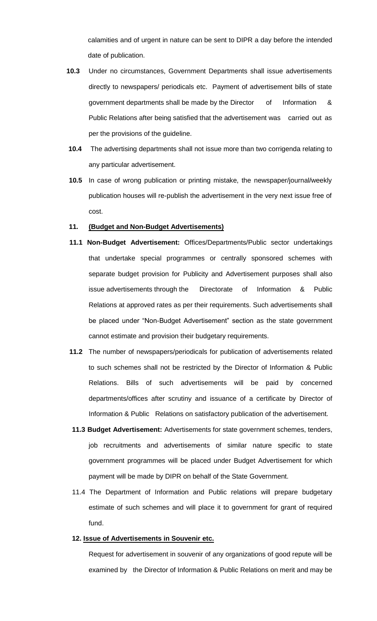calamities and of urgent in nature can be sent to DIPR a day before the intended date of publication.

- **10.3** Under no circumstances, Government Departments shall issue advertisements directly to newspapers/ periodicals etc. Payment of advertisement bills of state government departments shall be made by the Director of Information & Public Relations after being satisfied that the advertisement was carried out as per the provisions of the guideline.
- **10.4** The advertising departments shall not issue more than two corrigenda relating to any particular advertisement.
- **10.5** In case of wrong publication or printing mistake, the newspaper/journal/weekly publication houses will re-publish the advertisement in the very next issue free of cost.

#### **11. (Budget and Non-Budget Advertisements)**

- **11.1 Non-Budget Advertisement:** Offices/Departments/Public sector undertakings that undertake special programmes or centrally sponsored schemes with separate budget provision for Publicity and Advertisement purposes shall also issue advertisements through the Directorate of Information & Public Relations at approved rates as per their requirements. Such advertisements shall be placed under "Non-Budget Advertisement" section as the state government cannot estimate and provision their budgetary requirements.
- **11.2** The number of newspapers/periodicals for publication of advertisements related to such schemes shall not be restricted by the Director of Information & Public Relations. Bills of such advertisements will be paid by concerned departments/offices after scrutiny and issuance of a certificate by Director of Information & Public Relations on satisfactory publication of the advertisement.
- **11.3 Budget Advertisement:** Advertisements for state government schemes, tenders, job recruitments and advertisements of similar nature specific to state government programmes will be placed under Budget Advertisement for which payment will be made by DIPR on behalf of the State Government.
- 11.4 The Department of Information and Public relations will prepare budgetary estimate of such schemes and will place it to government for grant of required fund.

#### **12. Issue of Advertisements in Souvenir etc.**

Request for advertisement in souvenir of any organizations of good repute will be examined by the Director of Information & Public Relations on merit and may be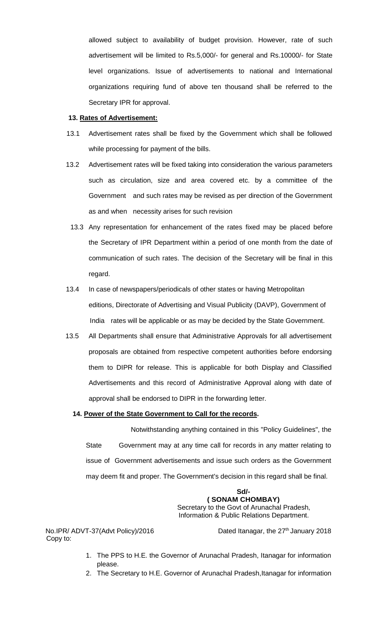allowed subject to availability of budget provision. However, rate of such advertisement will be limited to Rs.5,000/- for general and Rs.10000/- for State level organizations. Issue of advertisements to national and International organizations requiring fund of above ten thousand shall be referred to the Secretary IPR for approval.

#### **13. Rates of Advertisement:**

- 13.1 Advertisement rates shall be fixed by the Government which shall be followed while processing for payment of the bills.
- 13.2 Advertisement rates will be fixed taking into consideration the various parameters such as circulation, size and area covered etc. by a committee of the Government and such rates may be revised as per direction of the Government as and when necessity arises for such revision
	- 13.3 Any representation for enhancement of the rates fixed may be placed before the Secretary of IPR Department within a period of one month from the date of communication of such rates. The decision of the Secretary will be final in this regard.
- 13.4 In case of newspapers/periodicals of other states or having Metropolitan editions, Directorate of Advertising and Visual Publicity (DAVP), Government of India rates will be applicable or as may be decided by the State Government.
- 13.5 All Departments shall ensure that Administrative Approvals for all advertisement proposals are obtained from respective competent authorities before endorsing them to DIPR for release. This is applicable for both Display and Classified Advertisements and this record of Administrative Approval along with date of approval shall be endorsed to DIPR in the forwarding letter.

### **14. Power of the State Government to Call for the records.**

 Notwithstanding anything contained in this "Policy Guidelines", the State Government may at any time call for records in any matter relating to issue of Government advertisements and issue such orders as the Government may deem fit and proper. The Government's decision in this regard shall be final.

> **Sd/- ( SONAM CHOMBAY)** Secretary to the Govt of Arunachal Pradesh, Information & Public Relations Department.

Copy to:

No.IPR/ ADVT-37(Advt Policy)/2016 Dated Itanagar, the 27<sup>th</sup> January 2018

- 1. The PPS to H.E. the Governor of Arunachal Pradesh, Itanagar for information please.
- 2. The Secretary to H.E. Governor of Arunachal Pradesh, Itanagar for information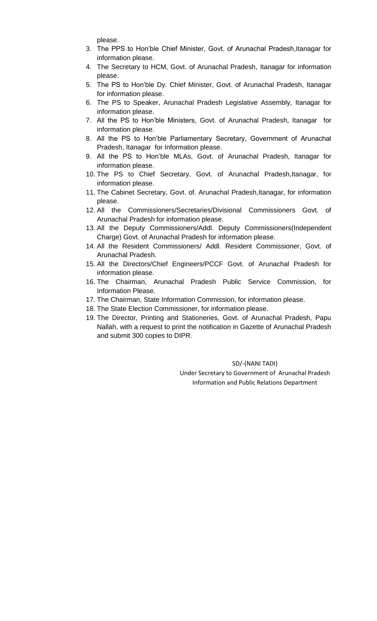please.

- 3. The PPS to Hon'ble Chief Minister, Govt. of Arunachal Pradesh, Itanagar for information please.
- 4. The Secretary to HCM, Govt. of Arunachal Pradesh, Itanagar for information please.
- 5. The PS to Hon'ble Dy. Chief Minister, Govt. of Arunachal Pradesh, Itanagar for information please.
- 6. The PS to Speaker, Arunachal Pradesh Legislative Assembly, Itanagar for information please.
- 7. All the PS to Hon'ble Ministers, Govt. of Arunachal Pradesh, Itanagar for information please.
- 8. All the PS to Hon'ble Parliamentary Secretary, Government of Arunachal Pradesh, Itanagar for Information please.
- 9. All the PS to Hon'ble MLAs, Govt. of Arunachal Pradesh, Itanagar for information please.
- 10. The PS to Chief Secretary, Govt. of Arunachal Pradesh,Itanagar, for information please.
- 11. The Cabinet Secretary, Govt. of. Arunachal Pradesh, Itanagar, for information please.
- 12. All the Commissioners/Secretaries/Divisional Commissioners Govt. of Arunachal Pradesh for information please.
- 13. All the Deputy Commissioners/Addl. Deputy Commissioners(Independent Charge) Govt. of Arunachal Pradesh for information please.
- 14. All the Resident Commissioners/ Addl. Resident Commissioner, Govt. of Arunachal Pradesh.
- 15. All the Directors/Chief Engineers/PCCF Govt. of Arunachal Pradesh for information please.
- 16. The Chairman, Arunachal Pradesh Public Service Commission, for Information Please.
- 17. The Chairman, State Information Commission, for information please.
- 18. The State Election Commissioner, for information please.
- 19. The Director, Printing and Stationeries, Govt. of Arunachal Pradesh, Papu Nallah, with a request to print the notification in Gazette of Arunachal Pradesh and submit 300 copies to DIPR.

SD/-(NANI TADI)

Under Secretary to Government of Arunachal Pradesh Information and Public Relations Department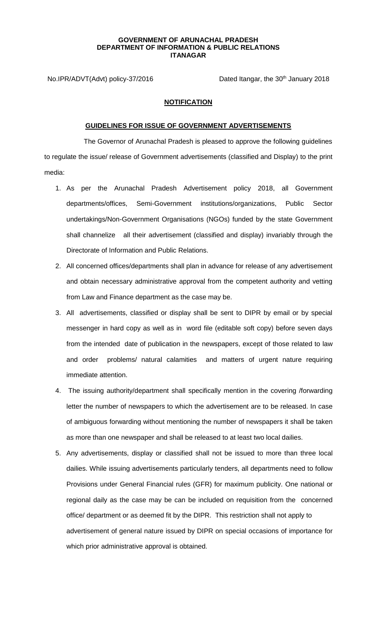#### **GOVERNMENT OF ARUNACHAL PRADESH DEPARTMENT OF INFORMATION & PUBLIC RELATIONS ITANAGAR**

No.IPR/ADVT(Advt) policy-37/2016 Dated Itangar, the 30<sup>th</sup> January 2018

## **NOTIFICATION**

#### **GUIDELINES FOR ISSUE OF GOVERNMENT ADVERTISEMENTS**

 The Governor of Arunachal Pradesh is pleased to approve the following guidelines to regulate the issue/ release of Government advertisements (classified and Display) to the print media:

- 1. As per the Arunachal Pradesh Advertisement policy 2018, all Government departments/offices, Semi-Government institutions/organizations, Public Sector undertakings/Non-Government Organisations (NGOs) funded by the state Government shall channelize all their advertisement (classified and display) invariably through the Directorate of Information and Public Relations.
- 2. All concerned offices/departments shall plan in advance for release of any advertisement and obtain necessary administrative approval from the competent authority and vetting from Law and Finance department as the case may be.
- 3. All advertisements, classified or display shall be sent to DIPR by email or by special messenger in hard copy as well as in word file (editable soft copy) before seven days from the intended date of publication in the newspapers, except of those related to law and order problems/ natural calamities and matters of urgent nature requiring immediate attention.
- 4. The issuing authority/department shall specifically mention in the covering /forwarding letter the number of newspapers to which the advertisement are to be released. In case of ambiguous forwarding without mentioning the number of newspapers it shall be taken as more than one newspaper and shall be released to at least two local dailies.
- 5. Any advertisements, display or classified shall not be issued to more than three local dailies. While issuing advertisements particularly tenders, all departments need to follow Provisions under General Financial rules (GFR) for maximum publicity. One national or regional daily as the case may be can be included on requisition from the concerned office/ department or as deemed fit by the DIPR. This restriction shall not apply to advertisement of general nature issued by DIPR on special occasions of importance for which prior administrative approval is obtained.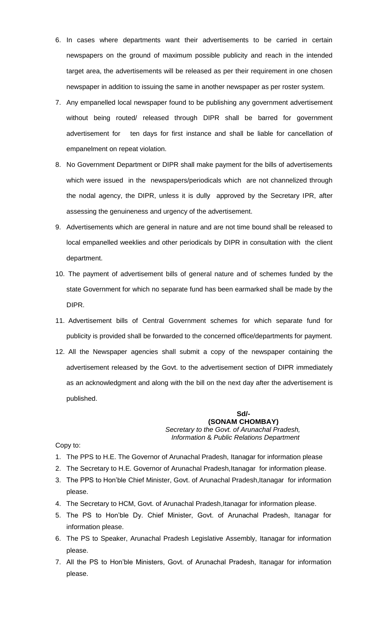- 6. In cases where departments want their advertisements to be carried in certain newspapers on the ground of maximum possible publicity and reach in the intended target area, the advertisements will be released as per their requirement in one chosen newspaper in addition to issuing the same in another newspaper as per roster system.
- 7. Any empanelled local newspaper found to be publishing any government advertisement without being routed/ released through DIPR shall be barred for government advertisement for ten days for first instance and shall be liable for cancellation of empanelment on repeat violation.
- 8. No Government Department or DIPR shall make payment for the bills of advertisements which were issued in the newspapers/periodicals which are not channelized through the nodal agency, the DIPR, unless it is dully approved by the Secretary IPR, after assessing the genuineness and urgency of the advertisement.
- 9. Advertisements which are general in nature and are not time bound shall be released to local empanelled weeklies and other periodicals by DIPR in consultation with the client department.
- 10. The payment of advertisement bills of general nature and of schemes funded by the state Government for which no separate fund has been earmarked shall be made by the DIPR.
- 11. Advertisement bills of Central Government schemes for which separate fund for publicity is provided shall be forwarded to the concerned office/departments for payment.
- 12. All the Newspaper agencies shall submit a copy of the newspaper containing the advertisement released by the Govt. to the advertisement section of DIPR immediately as an acknowledgment and along with the bill on the next day after the advertisement is published.

#### **Sd/- (SONAM CHOMBAY)** *Secretary to the Govt. of Arunachal Pradesh, Information* & *Public Relations Department*

Copy to:

- 1. The PPS to H.E. The Governor of Arunachal Pradesh, Itanagar for information please
- 2. The Secretary to H.E. Governor of Arunachal Pradesh, Itanagar for information please.
- 3. The PPS to Hon'ble Chief Minister, Govt. of Arunachal Pradesh, Itanagar for information please.
- 4. The Secretary to HCM, Govt. of Arunachal Pradesh, Itanagar for information please.
- 5. The PS to Hon'ble Dy. Chief Minister, Govt. of Arunachal Pradesh, Itanagar for information please.
- 6. The PS to Speaker, Arunachal Pradesh Legislative Assembly, Itanagar for information please.
- 7. All the PS to Hon'ble Ministers, Govt. of Arunachal Pradesh, Itanagar for information please.